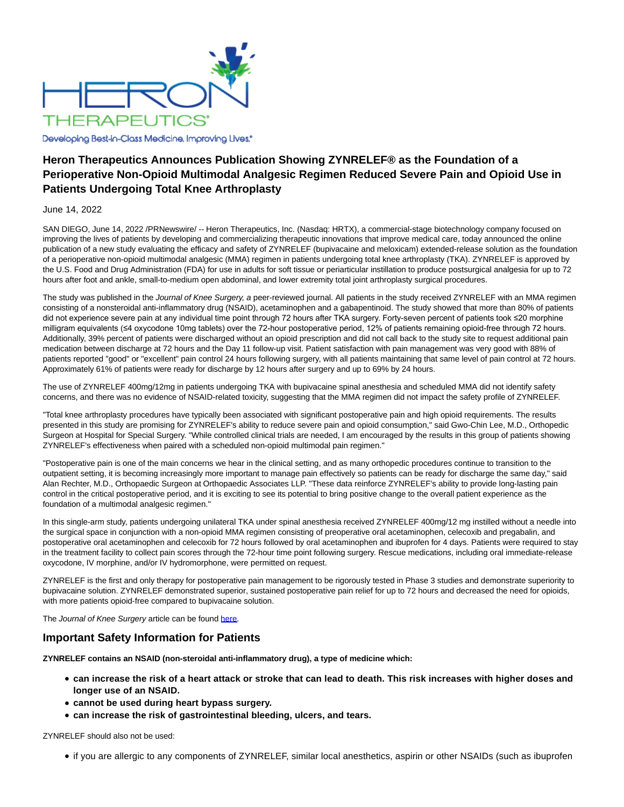

Developing Best-in-Class Medicine, Improving Lives,\*

# **Heron Therapeutics Announces Publication Showing ZYNRELEF® as the Foundation of a Perioperative Non-Opioid Multimodal Analgesic Regimen Reduced Severe Pain and Opioid Use in Patients Undergoing Total Knee Arthroplasty**

### June 14, 2022

SAN DIEGO, June 14, 2022 /PRNewswire/ -- Heron Therapeutics, Inc. (Nasdaq: HRTX), a commercial-stage biotechnology company focused on improving the lives of patients by developing and commercializing therapeutic innovations that improve medical care, today announced the online publication of a new study evaluating the efficacy and safety of ZYNRELEF (bupivacaine and meloxicam) extended-release solution as the foundation of a perioperative non-opioid multimodal analgesic (MMA) regimen in patients undergoing total knee arthroplasty (TKA). ZYNRELEF is approved by the U.S. Food and Drug Administration (FDA) for use in adults for soft tissue or periarticular instillation to produce postsurgical analgesia for up to 72 hours after foot and ankle, small-to-medium open abdominal, and lower extremity total joint arthroplasty surgical procedures.

The study was published in the Journal of Knee Surgery, a peer-reviewed journal. All patients in the study received ZYNRELEF with an MMA regimen consisting of a nonsteroidal anti-inflammatory drug (NSAID), acetaminophen and a gabapentinoid. The study showed that more than 80% of patients did not experience severe pain at any individual time point through 72 hours after TKA surgery. Forty-seven percent of patients took ≤20 morphine milligram equivalents (≤4 oxycodone 10mg tablets) over the 72-hour postoperative period, 12% of patients remaining opioid-free through 72 hours. Additionally, 39% percent of patients were discharged without an opioid prescription and did not call back to the study site to request additional pain medication between discharge at 72 hours and the Day 11 follow-up visit. Patient satisfaction with pain management was very good with 88% of patients reported "good" or "excellent" pain control 24 hours following surgery, with all patients maintaining that same level of pain control at 72 hours. Approximately 61% of patients were ready for discharge by 12 hours after surgery and up to 69% by 24 hours.

The use of ZYNRELEF 400mg/12mg in patients undergoing TKA with bupivacaine spinal anesthesia and scheduled MMA did not identify safety concerns, and there was no evidence of NSAID-related toxicity, suggesting that the MMA regimen did not impact the safety profile of ZYNRELEF.

"Total knee arthroplasty procedures have typically been associated with significant postoperative pain and high opioid requirements. The results presented in this study are promising for ZYNRELEF's ability to reduce severe pain and opioid consumption," said Gwo-Chin Lee, M.D., Orthopedic Surgeon at Hospital for Special Surgery. "While controlled clinical trials are needed, I am encouraged by the results in this group of patients showing ZYNRELEF's effectiveness when paired with a scheduled non-opioid multimodal pain regimen."

"Postoperative pain is one of the main concerns we hear in the clinical setting, and as many orthopedic procedures continue to transition to the outpatient setting, it is becoming increasingly more important to manage pain effectively so patients can be ready for discharge the same day," said Alan Rechter, M.D., Orthopaedic Surgeon at Orthopaedic Associates LLP. "These data reinforce ZYNRELEF's ability to provide long-lasting pain control in the critical postoperative period, and it is exciting to see its potential to bring positive change to the overall patient experience as the foundation of a multimodal analgesic regimen."

In this single-arm study, patients undergoing unilateral TKA under spinal anesthesia received ZYNRELEF 400mg/12 mg instilled without a needle into the surgical space in conjunction with a non-opioid MMA regimen consisting of preoperative oral acetaminophen, celecoxib and pregabalin, and postoperative oral acetaminophen and celecoxib for 72 hours followed by oral acetaminophen and ibuprofen for 4 days. Patients were required to stay in the treatment facility to collect pain scores through the 72-hour time point following surgery. Rescue medications, including oral immediate-release oxycodone, IV morphine, and/or IV hydromorphone, were permitted on request.

ZYNRELEF is the first and only therapy for postoperative pain management to be rigorously tested in Phase 3 studies and demonstrate superiority to bupivacaine solution. ZYNRELEF demonstrated superior, sustained postoperative pain relief for up to 72 hours and decreased the need for opioids, with more patients opioid-free compared to bupivacaine solution.

The Journal of Knee Surgery article can be found [here.](https://c212.net/c/link/?t=0&l=en&o=3565928-1&h=2279945159&u=https%3A%2F%2Fwww.thieme-connect.de%2Fproducts%2Fejournals%2Fabstract%2F10.1055%2Fs-0042-1747945&a=here)

## **Important Safety Information for Patients**

**ZYNRELEF contains an NSAID (non-steroidal anti-inflammatory drug), a type of medicine which:**

- **can increase the risk of a heart attack or stroke that can lead to death. This risk increases with higher doses and longer use of an NSAID.**
- **cannot be used during heart bypass surgery.**
- **can increase the risk of gastrointestinal bleeding, ulcers, and tears.**

ZYNRELEF should also not be used:

if you are allergic to any components of ZYNRELEF, similar local anesthetics, aspirin or other NSAIDs (such as ibuprofen